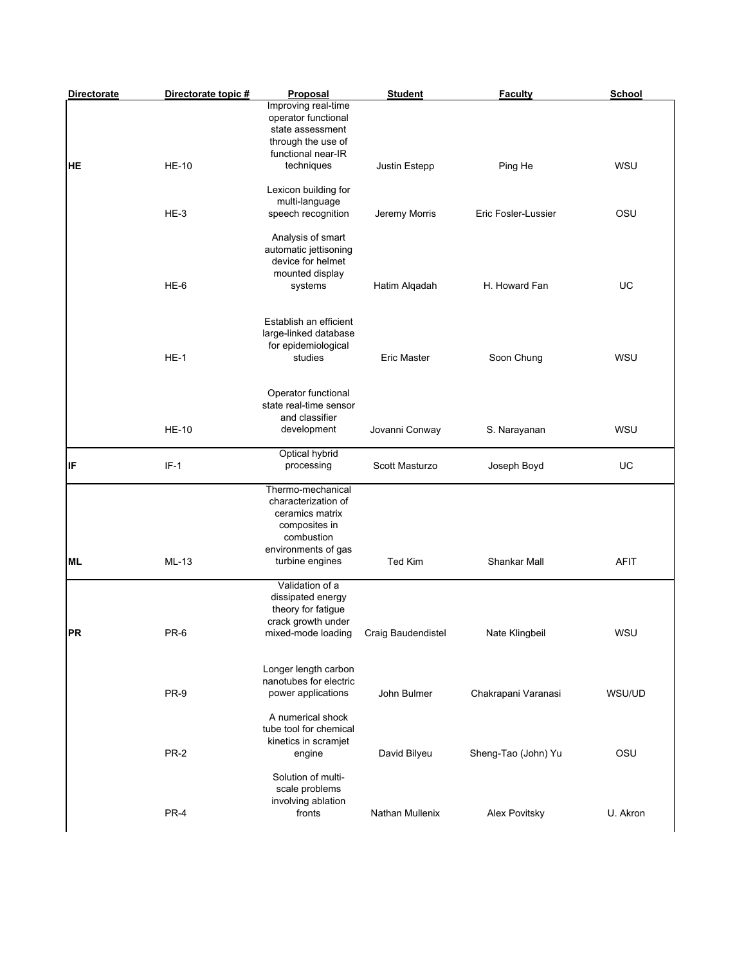| <b>Directorate</b> | Directorate topic # | <b>Proposal</b>                                                                                                                      | <b>Student</b>     | <b>Faculty</b>      | School      |
|--------------------|---------------------|--------------------------------------------------------------------------------------------------------------------------------------|--------------------|---------------------|-------------|
| <b>HE</b>          | <b>HE-10</b>        | Improving real-time<br>operator functional<br>state assessment<br>through the use of<br>functional near-IR<br>techniques             | Justin Estepp      | Ping He             | WSU         |
|                    |                     | Lexicon building for<br>multi-language                                                                                               |                    |                     |             |
|                    | HE-3                | speech recognition                                                                                                                   | Jeremy Morris      | Eric Fosler-Lussier | OSU         |
|                    | $HE-6$              | Analysis of smart<br>automatic jettisoning<br>device for helmet<br>mounted display<br>systems                                        | Hatim Alqadah      | H. Howard Fan       | UC          |
|                    | $HE-1$              | Establish an efficient<br>large-linked database<br>for epidemiological<br>studies                                                    | <b>Eric Master</b> | Soon Chung          | WSU         |
|                    | <b>HE-10</b>        | Operator functional<br>state real-time sensor<br>and classifier<br>development                                                       | Jovanni Conway     | S. Narayanan        | WSU         |
| ļΙF                | $IF-1$              | Optical hybrid<br>processing                                                                                                         | Scott Masturzo     | Joseph Boyd         | UC          |
| <b>ML</b>          | ML-13               | Thermo-mechanical<br>characterization of<br>ceramics matrix<br>composites in<br>combustion<br>environments of gas<br>turbine engines | Ted Kim            | Shankar Mall        | <b>AFIT</b> |
| PR                 | PR-6                | Validation of a<br>dissipated energy<br>theory for fatigue<br>crack growth under<br>mixed-mode loading Craig Baudendistel            |                    | Nate Klingbeil      | WSU         |
|                    | PR-9                | Longer length carbon<br>nanotubes for electric<br>power applications                                                                 | John Bulmer        | Chakrapani Varanasi | WSU/UD      |
|                    | <b>PR-2</b>         | A numerical shock<br>tube tool for chemical<br>kinetics in scramjet<br>engine                                                        | David Bilyeu       | Sheng-Tao (John) Yu | OSU         |
|                    | PR-4                | Solution of multi-<br>scale problems<br>involving ablation<br>fronts                                                                 | Nathan Mullenix    | Alex Povitsky       | U. Akron    |